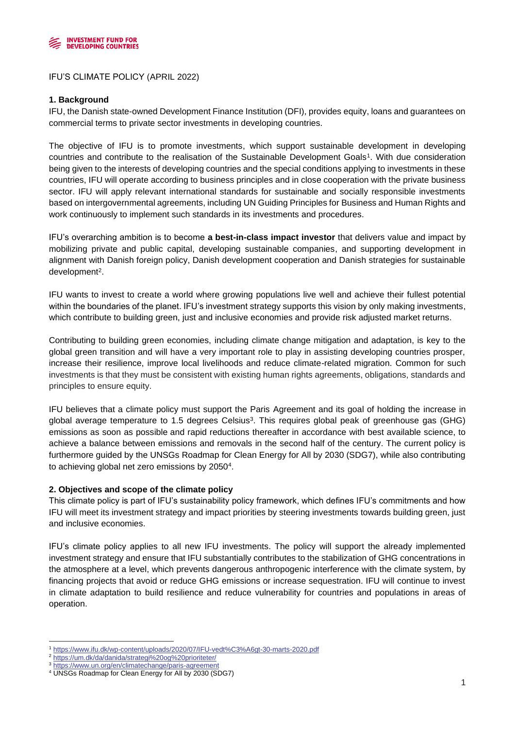

IFU'S CLIMATE POLICY (APRIL 2022)

## **1. Background**

IFU, the Danish state-owned Development Finance Institution (DFI), provides equity, loans and guarantees on commercial terms to private sector investments in developing countries.

The objective of IFU is to promote investments, which support sustainable development in developing countries and contribute to the realisation of the Sustainable Development Goals<sup>1</sup> . With due consideration being given to the interests of developing countries and the special conditions applying to investments in these countries, IFU will operate according to business principles and in close cooperation with the private business sector. IFU will apply relevant international standards for sustainable and socially responsible investments based on intergovernmental agreements, including UN Guiding Principles for Business and Human Rights and work continuously to implement such standards in its investments and procedures.

IFU's overarching ambition is to become **a best-in-class impact investor** that delivers value and impact by mobilizing private and public capital, developing sustainable companies, and supporting development in alignment with Danish foreign policy, Danish development cooperation and Danish strategies for sustainable development<sup>2</sup>.

IFU wants to invest to create a world where growing populations live well and achieve their fullest potential within the boundaries of the planet. IFU's investment strategy supports this vision by only making investments, which contribute to building green, just and inclusive economies and provide risk adjusted market returns.

Contributing to building green economies, including climate change mitigation and adaptation, is key to the global green transition and will have a very important role to play in assisting developing countries prosper, increase their resilience, improve local livelihoods and reduce climate-related migration. Common for such investments is that they must be consistent with existing human rights agreements, obligations, standards and principles to ensure equity.

IFU believes that a climate policy must support the Paris Agreement and its goal of holding the increase in global average temperature to 1.5 degrees Celsius<sup>3</sup>. This requires global peak of greenhouse gas (GHG) emissions as soon as possible and rapid reductions thereafter in accordance with best available science, to achieve a balance between emissions and removals in the second half of the century. The current policy is furthermore guided by the UNSGs Roadmap for Clean Energy for All by 2030 (SDG7), while also contributing to achieving global net zero emissions by 2050<sup>4</sup>.

### **2. Objectives and scope of the climate policy**

This climate policy is part of IFU's sustainability policy framework, which defines IFU's commitments and how IFU will meet its investment strategy and impact priorities by steering investments towards building green, just and inclusive economies.

IFU's climate policy applies to all new IFU investments. The policy will support the already implemented investment strategy and ensure that IFU substantially contributes to the stabilization of GHG concentrations in the atmosphere at a level, which prevents dangerous anthropogenic interference with the climate system, by financing projects that avoid or reduce GHG emissions or increase sequestration. IFU will continue to invest in climate adaptation to build resilience and reduce vulnerability for countries and populations in areas of operation.

<sup>1</sup> <https://www.ifu.dk/wp-content/uploads/2020/07/IFU-vedt%C3%A6gt-30-marts-2020.pdf>

<sup>2</sup> <https://um.dk/da/danida/strategi%20og%20prioriteter/>

<https://www.un.org/en/climatechange/paris-agreement>

<sup>4</sup> UNSGs Roadmap for Clean Energy for All by 2030 (SDG7)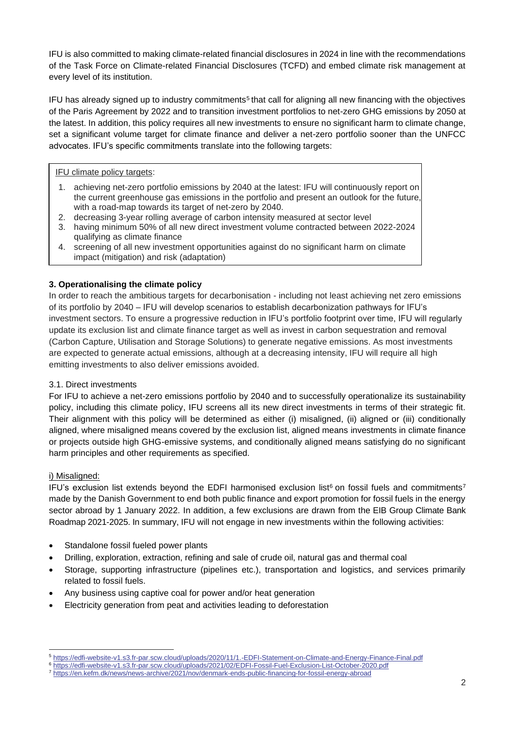IFU is also committed to making climate-related financial disclosures in 2024 in line with the recommendations of the Task Force on Climate-related Financial Disclosures (TCFD) and embed climate risk management at every level of its institution.

IFU has already signed up to industry commitments<sup>5</sup> that call for aligning all new financing with the objectives of the Paris Agreement by 2022 and to transition investment portfolios to net-zero GHG emissions by 2050 at the latest. In addition, this policy requires all new investments to ensure no significant harm to climate change, set a significant volume target for climate finance and deliver a net-zero portfolio sooner than the UNFCC advocates. IFU's specific commitments translate into the following targets:

# IFU climate policy targets:

- 1. achieving net-zero portfolio emissions by 2040 at the latest: IFU will continuously report on the current greenhouse gas emissions in the portfolio and present an outlook for the future, with a road-map towards its target of net-zero by 2040.
- 2. decreasing 3-year rolling average of carbon intensity measured at sector level
- 3. having minimum 50% of all new direct investment volume contracted between 2022-2024 qualifying as climate finance
- 4. screening of all new investment opportunities against do no significant harm on climate impact (mitigation) and risk (adaptation)

# **3. Operationalising the climate policy**

In order to reach the ambitious targets for decarbonisation - including not least achieving net zero emissions of its portfolio by 2040 – IFU will develop scenarios to establish decarbonization pathways for IFU's investment sectors. To ensure a progressive reduction in IFU's portfolio footprint over time, IFU will regularly update its exclusion list and climate finance target as well as invest in carbon sequestration and removal (Carbon Capture, Utilisation and Storage Solutions) to generate negative emissions. As most investments are expected to generate actual emissions, although at a decreasing intensity, IFU will require all high emitting investments to also deliver emissions avoided.

### 3.1. Direct investments

For IFU to achieve a net-zero emissions portfolio by 2040 and to successfully operationalize its sustainability policy, including this climate policy, IFU screens all its new direct investments in terms of their strategic fit. Their alignment with this policy will be determined as either (i) misaligned, (ii) aligned or (iii) conditionally aligned, where misaligned means covered by the exclusion list, aligned means investments in climate finance or projects outside high GHG-emissive systems, and conditionally aligned means satisfying do no significant harm principles and other requirements as specified.

### i) Misaligned:

IFU's exclusion list extends beyond the EDFI harmonised exclusion list<sup>6</sup> on fossil fuels and commitments<sup>7</sup> made by the Danish Government to end both public finance and export promotion for fossil fuels in the energy sector abroad by 1 January 2022. In addition, a few exclusions are drawn from the EIB Group Climate Bank Roadmap 2021-2025. In summary, IFU will not engage in new investments within the following activities:

- Standalone fossil fueled power plants
- Drilling, exploration, extraction, refining and sale of crude oil, natural gas and thermal coal
- Storage, supporting infrastructure (pipelines etc.), transportation and logistics, and services primarily related to fossil fuels.
- Any business using captive coal for power and/or heat generation
- Electricity generation from peat and activities leading to deforestation

<sup>5</sup> <https://edfi-website-v1.s3.fr-par.scw.cloud/uploads/2020/11/1.-EDFI-Statement-on-Climate-and-Energy-Finance-Final.pdf>

<sup>6</sup> <https://edfi-website-v1.s3.fr-par.scw.cloud/uploads/2021/02/EDFI-Fossil-Fuel-Exclusion-List-October-2020.pdf>

<sup>7</sup> <https://en.kefm.dk/news/news-archive/2021/nov/denmark-ends-public-financing-for-fossil-energy-abroad>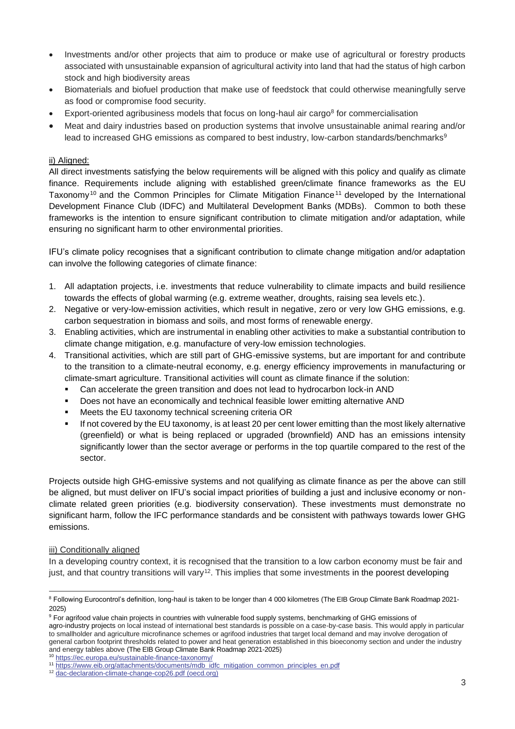- Investments and/or other projects that aim to produce or make use of agricultural or forestry products associated with unsustainable expansion of agricultural activity into land that had the status of high carbon stock and high biodiversity areas
- Biomaterials and biofuel production that make use of feedstock that could otherwise meaningfully serve as food or compromise food security.
- Export-oriented agribusiness models that focus on long-haul air cargo<sup>8</sup> for commercialisation
- Meat and dairy industries based on production systems that involve unsustainable animal rearing and/or lead to increased GHG emissions as compared to best industry, low-carbon standards/benchmarks<sup>9</sup>

# ii) Aligned:

All direct investments satisfying the below requirements will be aligned with this policy and qualify as climate finance. Requirements include aligning with established green/climate finance frameworks as the EU Taxonomy<sup>10</sup> and the Common Principles for Climate Mitigation Finance<sup>11</sup> developed by the International Development Finance Club (IDFC) and Multilateral Development Banks (MDBs). Common to both these frameworks is the intention to ensure significant contribution to climate mitigation and/or adaptation, while ensuring no significant harm to other environmental priorities.

IFU's climate policy recognises that a significant contribution to climate change mitigation and/or adaptation can involve the following categories of climate finance:

- 1. All adaptation projects, i.e. investments that reduce vulnerability to climate impacts and build resilience towards the effects of global warming (e.g. extreme weather, droughts, raising sea levels etc.).
- 2. Negative or very-low-emission activities, which result in negative, zero or very low GHG emissions, e.g. carbon sequestration in biomass and soils, and most forms of renewable energy.
- 3. Enabling activities, which are instrumental in enabling other activities to make a substantial contribution to climate change mitigation, e.g. manufacture of very-low emission technologies.
- 4. Transitional activities, which are still part of GHG-emissive systems, but are important for and contribute to the transition to a climate-neutral economy, e.g. energy efficiency improvements in manufacturing or climate-smart agriculture. Transitional activities will count as climate finance if the solution:
	- Can accelerate the green transition and does not lead to hydrocarbon lock-in AND
	- Does not have an economically and technical feasible lower emitting alternative AND
	- Meets the EU taxonomy technical screening criteria OR
	- If not covered by the EU taxonomy, is at least 20 per cent lower emitting than the most likely alternative (greenfield) or what is being replaced or upgraded (brownfield) AND has an emissions intensity significantly lower than the sector average or performs in the top quartile compared to the rest of the sector.

Projects outside high GHG-emissive systems and not qualifying as climate finance as per the above can still be aligned, but must deliver on IFU's social impact priorities of building a just and inclusive economy or nonclimate related green priorities (e.g. biodiversity conservation). These investments must demonstrate no significant harm, follow the IFC performance standards and be consistent with pathways towards lower GHG emissions.

### iii) Conditionally aligned

In a developing country context, it is recognised that the transition to a low carbon economy must be fair and just, and that country transitions will vary<sup>12</sup>. This implies that some investments in the poorest developing

<sup>10</sup> <https://ec.europa.eu/sustainable-finance-taxonomy/>

<sup>&</sup>lt;sup>8</sup> Following Eurocontrol's definition, long-haul is taken to be longer than 4 000 kilometres (The EIB Group Climate Bank Roadmap 2021-2025)

<sup>&</sup>lt;sup>9</sup> For agrifood value chain projects in countries with vulnerable food supply systems, benchmarking of GHG emissions of agro-industry projects on local instead of international best standards is possible on a case-by-case basis. This would apply in particular to smallholder and agriculture microfinance schemes or agrifood industries that target local demand and may involve derogation of general carbon footprint thresholds related to power and heat generation established in this bioeconomy section and under the industry and energy tables above (The EIB Group Climate Bank Roadmap 2021-2025)

<sup>11</sup> [https://www.eib.org/attachments/documents/mdb\\_idfc\\_mitigation\\_common\\_principles\\_en.pdf](https://www.eib.org/attachments/documents/mdb_idfc_mitigation_common_principles_en.pdf)

<sup>12</sup> [dac-declaration-climate-change-cop26.pdf \(oecd.org\)](https://www.oecd.org/dac/development-assistance-committee/dac-declaration-climate-change-cop26.pdf?msclkid=e6f64442ab4d11ec845018e3d1a73c04)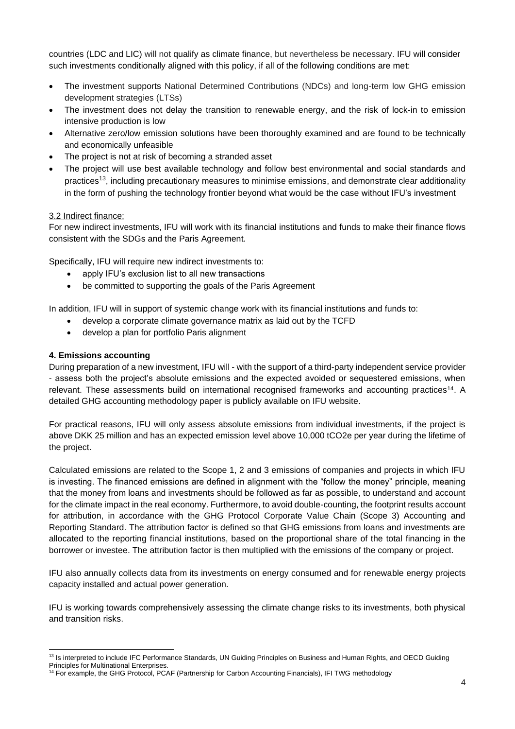countries (LDC and LIC) will not qualify as climate finance, but nevertheless be necessary. IFU will consider such investments conditionally aligned with this policy, if all of the following conditions are met:

- The investment supports National Determined Contributions (NDCs) and long-term low GHG emission development strategies (LTSs)
- The investment does not delay the transition to renewable energy, and the risk of lock-in to emission intensive production is low
- Alternative zero/low emission solutions have been thoroughly examined and are found to be technically and economically unfeasible
- The project is not at risk of becoming a stranded asset
- The project will use best available technology and follow best environmental and social standards and practices<sup>13</sup>, including precautionary measures to minimise emissions, and demonstrate clear additionality in the form of pushing the technology frontier beyond what would be the case without IFU's investment

### 3.2 Indirect finance:

For new indirect investments, IFU will work with its financial institutions and funds to make their finance flows consistent with the SDGs and the Paris Agreement.

Specifically, IFU will require new indirect investments to:

- apply IFU's exclusion list to all new transactions
- be committed to supporting the goals of the Paris Agreement

In addition, IFU will in support of systemic change work with its financial institutions and funds to:

- develop a corporate climate governance matrix as laid out by the TCFD
- develop a plan for portfolio Paris alignment

# **4. Emissions accounting**

During preparation of a new investment, IFU will - with the support of a third-party independent service provider - assess both the project's absolute emissions and the expected avoided or sequestered emissions, when relevant. These assessments build on international recognised frameworks and accounting practices<sup>14</sup>. A detailed GHG accounting methodology paper is publicly available on IFU website.

For practical reasons, IFU will only assess absolute emissions from individual investments, if the project is above DKK 25 million and has an expected emission level above 10,000 tCO2e per year during the lifetime of the project.

Calculated emissions are related to the Scope 1, 2 and 3 emissions of companies and projects in which IFU is investing. The financed emissions are defined in alignment with the "follow the money" principle, meaning that the money from loans and investments should be followed as far as possible, to understand and account for the climate impact in the real economy. Furthermore, to avoid double-counting, the footprint results account for attribution, in accordance with the GHG Protocol Corporate Value Chain (Scope 3) Accounting and Reporting Standard. The attribution factor is defined so that GHG emissions from loans and investments are allocated to the reporting financial institutions, based on the proportional share of the total financing in the borrower or investee. The attribution factor is then multiplied with the emissions of the company or project.

IFU also annually collects data from its investments on energy consumed and for renewable energy projects capacity installed and actual power generation.

IFU is working towards comprehensively assessing the climate change risks to its investments, both physical and transition risks.

<sup>&</sup>lt;sup>13</sup> Is interpreted to include IFC Performance Standards, UN Guiding Principles on Business and Human Rights, and OECD Guiding

Principles for Multinational Enterprises.

<sup>&</sup>lt;sup>14</sup> For example, the GHG Protocol, PCAF (Partnership for Carbon Accounting Financials), IFI TWG methodology